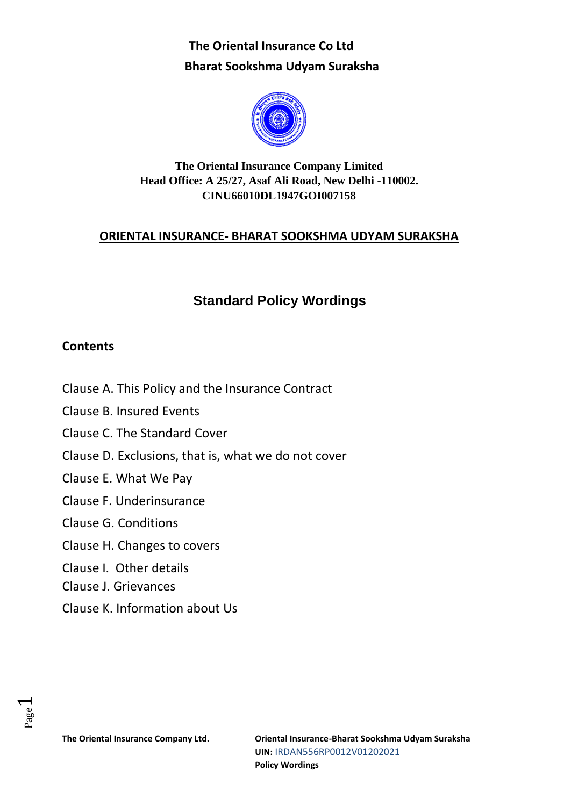

# **The Oriental Insurance Company Limited Head Office: A 25/27, Asaf Ali Road, New Delhi -110002. CINU66010DL1947GOI007158**

# **ORIENTAL INSURANCE- BHARAT SOOKSHMA UDYAM SURAKSHA**

# **Standard Policy Wordings**

# **Contents**

- Clause A. This Policy and the Insurance Contract
- Clause B. Insured Events
- Clause C. The Standard Cover
- Clause D. Exclusions, that is, what we do not cover
- Clause E. What We Pay
- Clause F. Underinsurance
- Clause G. Conditions
- Clause H. Changes to covers
- Clause I. Other details
- Clause J. Grievances
- Clause K. Information about Us

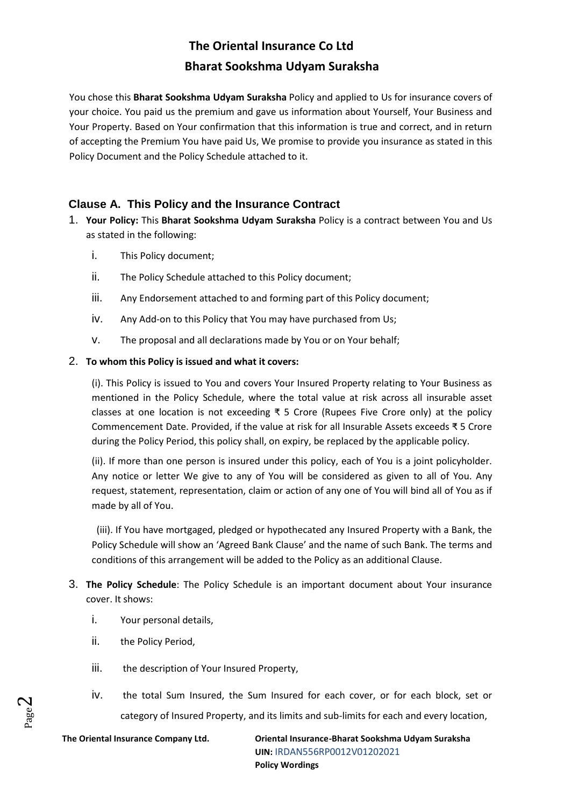You chose this **Bharat Sookshma Udyam Suraksha** Policy and applied to Us for insurance covers of your choice. You paid us the premium and gave us information about Yourself, Your Business and Your Property. Based on Your confirmation that this information is true and correct, and in return of accepting the Premium You have paid Us, We promise to provide you insurance as stated in this Policy Document and the Policy Schedule attached to it.

## **Clause A. This Policy and the Insurance Contract**

- 1. **Your Policy:** This **Bharat Sookshma Udyam Suraksha** Policy is a contract between You and Us as stated in the following:
	- i. This Policy document;
	- ii. The Policy Schedule attached to this Policy document;
	- iii. Any Endorsement attached to and forming part of this Policy document;
	- iv. Any Add-on to this Policy that You may have purchased from Us;
	- v. The proposal and all declarations made by You or on Your behalf;

#### 2. **To whom this Policy is issued and what it covers:**

(i). This Policy is issued to You and covers Your Insured Property relating to Your Business as mentioned in the Policy Schedule, where the total value at risk across all insurable asset classes at one location is not exceeding ₹ 5 Crore (Rupees Five Crore only) at the policy Commencement Date. Provided, if the value at risk for all Insurable Assets exceeds ₹ 5 Crore during the Policy Period, this policy shall, on expiry, be replaced by the applicable policy.

(ii). If more than one person is insured under this policy, each of You is a joint policyholder. Any notice or letter We give to any of You will be considered as given to all of You. Any request, statement, representation, claim or action of any one of You will bind all of You as if made by all of You.

 (iii). If You have mortgaged, pledged or hypothecated any Insured Property with a Bank, the Policy Schedule will show an 'Agreed Bank Clause' and the name of such Bank. The terms and conditions of this arrangement will be added to the Policy as an additional Clause.

- 3. **The Policy Schedule**: The Policy Schedule is an important document about Your insurance cover. It shows:
	- i. Your personal details,
	- ii. the Policy Period,
	- iii. the description of Your Insured Property,
	- iv. the total Sum Insured, the Sum Insured for each cover, or for each block, set or category of Insured Property, and its limits and sub-limits for each and every location,

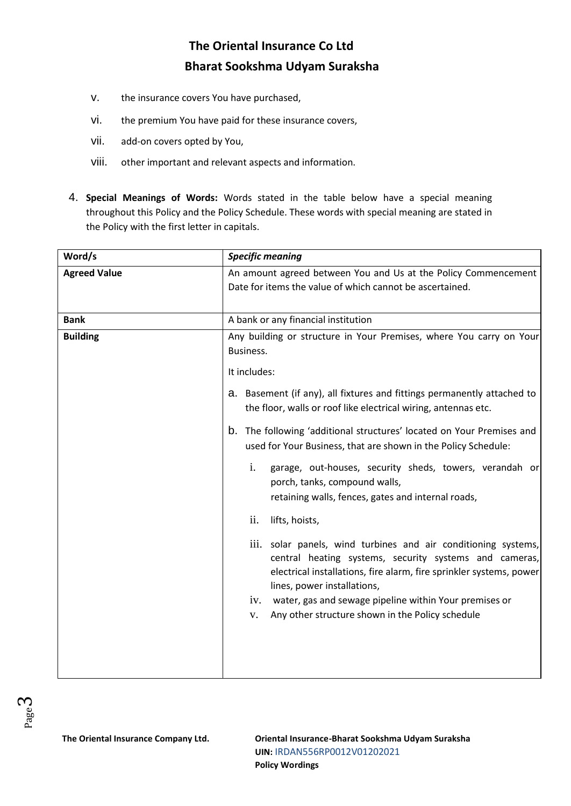- v. the insurance covers You have purchased,
- vi. the premium You have paid for these insurance covers,
- vii. add-on covers opted by You,
- viii. other important and relevant aspects and information.
- 4. **Special Meanings of Words:** Words stated in the table below have a special meaning throughout this Policy and the Policy Schedule. These words with special meaning are stated in the Policy with the first letter in capitals.

| Word/s              | <b>Specific meaning</b>                                                                                                                                                                                                        |
|---------------------|--------------------------------------------------------------------------------------------------------------------------------------------------------------------------------------------------------------------------------|
| <b>Agreed Value</b> | An amount agreed between You and Us at the Policy Commencement<br>Date for items the value of which cannot be ascertained.                                                                                                     |
| <b>Bank</b>         | A bank or any financial institution                                                                                                                                                                                            |
| <b>Building</b>     | Any building or structure in Your Premises, where You carry on Your<br>Business.<br>It includes:                                                                                                                               |
|                     | a. Basement (if any), all fixtures and fittings permanently attached to<br>the floor, walls or roof like electrical wiring, antennas etc.                                                                                      |
|                     | b. The following 'additional structures' located on Your Premises and<br>used for Your Business, that are shown in the Policy Schedule:                                                                                        |
|                     | i.<br>garage, out-houses, security sheds, towers, verandah or<br>porch, tanks, compound walls,<br>retaining walls, fences, gates and internal roads,                                                                           |
|                     | ii.<br>lifts, hoists,                                                                                                                                                                                                          |
|                     | iii. solar panels, wind turbines and air conditioning systems,<br>central heating systems, security systems and cameras,<br>electrical installations, fire alarm, fire sprinkler systems, power<br>lines, power installations, |
|                     | water, gas and sewage pipeline within Your premises or<br>iv.<br>Any other structure shown in the Policy schedule<br>V.                                                                                                        |
|                     |                                                                                                                                                                                                                                |

Page ო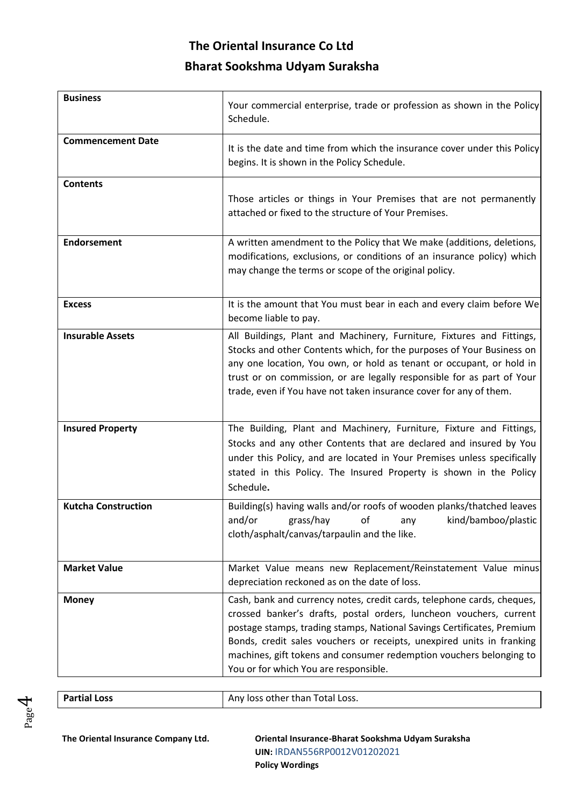| <b>Business</b>            | Your commercial enterprise, trade or profession as shown in the Policy<br>Schedule.                                                                                                                                                                                                                                                                                                                             |
|----------------------------|-----------------------------------------------------------------------------------------------------------------------------------------------------------------------------------------------------------------------------------------------------------------------------------------------------------------------------------------------------------------------------------------------------------------|
| <b>Commencement Date</b>   | It is the date and time from which the insurance cover under this Policy<br>begins. It is shown in the Policy Schedule.                                                                                                                                                                                                                                                                                         |
| <b>Contents</b>            | Those articles or things in Your Premises that are not permanently<br>attached or fixed to the structure of Your Premises.                                                                                                                                                                                                                                                                                      |
| <b>Endorsement</b>         | A written amendment to the Policy that We make (additions, deletions,<br>modifications, exclusions, or conditions of an insurance policy) which<br>may change the terms or scope of the original policy.                                                                                                                                                                                                        |
| <b>Excess</b>              | It is the amount that You must bear in each and every claim before We<br>become liable to pay.                                                                                                                                                                                                                                                                                                                  |
| <b>Insurable Assets</b>    | All Buildings, Plant and Machinery, Furniture, Fixtures and Fittings,<br>Stocks and other Contents which, for the purposes of Your Business on<br>any one location, You own, or hold as tenant or occupant, or hold in<br>trust or on commission, or are legally responsible for as part of Your<br>trade, even if You have not taken insurance cover for any of them.                                          |
| <b>Insured Property</b>    | The Building, Plant and Machinery, Furniture, Fixture and Fittings,<br>Stocks and any other Contents that are declared and insured by You<br>under this Policy, and are located in Your Premises unless specifically<br>stated in this Policy. The Insured Property is shown in the Policy<br>Schedule.                                                                                                         |
| <b>Kutcha Construction</b> | Building(s) having walls and/or roofs of wooden planks/thatched leaves<br>grass/hay of any kind/bamboo/plastic<br>and/or<br>cloth/asphalt/canvas/tarpaulin and the like.                                                                                                                                                                                                                                        |
| <b>Market Value</b>        | Market Value means new Replacement/Reinstatement Value minus<br>depreciation reckoned as on the date of loss.                                                                                                                                                                                                                                                                                                   |
| <b>Money</b>               | Cash, bank and currency notes, credit cards, telephone cards, cheques,<br>crossed banker's drafts, postal orders, luncheon vouchers, current<br>postage stamps, trading stamps, National Savings Certificates, Premium<br>Bonds, credit sales vouchers or receipts, unexpired units in franking<br>machines, gift tokens and consumer redemption vouchers belonging to<br>You or for which You are responsible. |



**Partial Loss Any loss other than Total Loss.** 

Page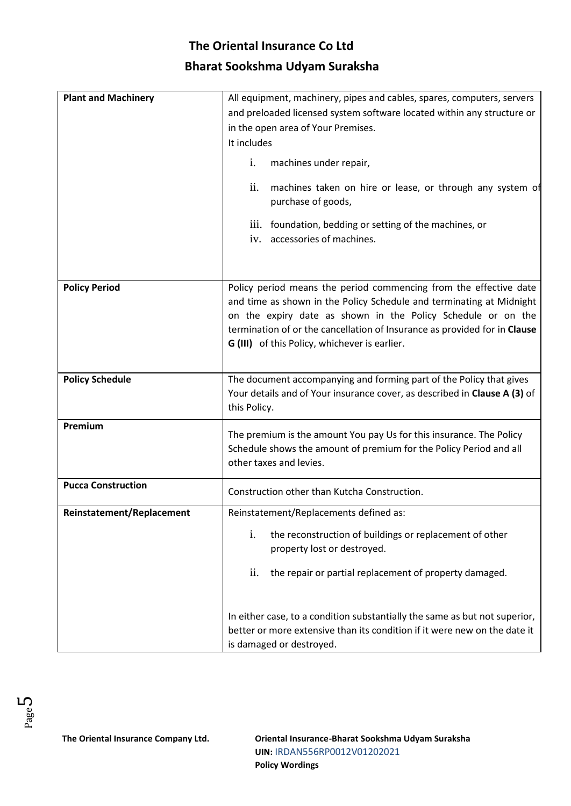| <b>Plant and Machinery</b> | All equipment, machinery, pipes and cables, spares, computers, servers<br>and preloaded licensed system software located within any structure or<br>in the open area of Your Premises.<br>It includes<br>machines under repair,<br>i.<br>ii.<br>machines taken on hire or lease, or through any system of<br>purchase of goods,<br>iii. foundation, bedding or setting of the machines, or<br>accessories of machines.<br>iv. |  |
|----------------------------|-------------------------------------------------------------------------------------------------------------------------------------------------------------------------------------------------------------------------------------------------------------------------------------------------------------------------------------------------------------------------------------------------------------------------------|--|
| <b>Policy Period</b>       | Policy period means the period commencing from the effective date<br>and time as shown in the Policy Schedule and terminating at Midnight<br>on the expiry date as shown in the Policy Schedule or on the<br>termination of or the cancellation of Insurance as provided for in Clause<br>G (III) of this Policy, whichever is earlier.                                                                                       |  |
| <b>Policy Schedule</b>     | The document accompanying and forming part of the Policy that gives<br>Your details and of Your insurance cover, as described in Clause A (3) of<br>this Policy.                                                                                                                                                                                                                                                              |  |
| Premium                    | The premium is the amount You pay Us for this insurance. The Policy<br>Schedule shows the amount of premium for the Policy Period and all<br>other taxes and levies.                                                                                                                                                                                                                                                          |  |
| <b>Pucca Construction</b>  | Construction other than Kutcha Construction.                                                                                                                                                                                                                                                                                                                                                                                  |  |
| Reinstatement/Replacement  | Reinstatement/Replacements defined as:<br>i.<br>the reconstruction of buildings or replacement of other<br>property lost or destroyed.<br>ii.<br>the repair or partial replacement of property damaged.<br>In either case, to a condition substantially the same as but not superior,                                                                                                                                         |  |
|                            | better or more extensive than its condition if it were new on the date it<br>is damaged or destroyed.                                                                                                                                                                                                                                                                                                                         |  |

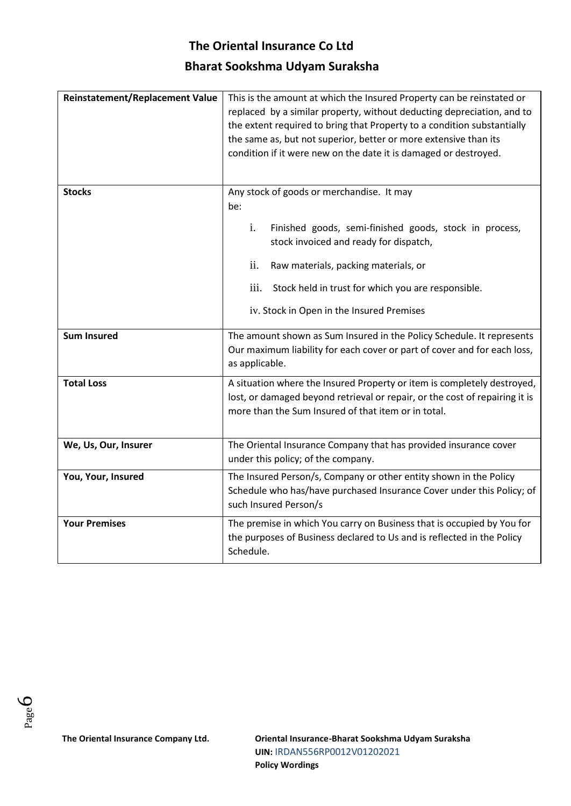| <b>Reinstatement/Replacement Value</b> | This is the amount at which the Insured Property can be reinstated or<br>replaced by a similar property, without deducting depreciation, and to<br>the extent required to bring that Property to a condition substantially<br>the same as, but not superior, better or more extensive than its<br>condition if it were new on the date it is damaged or destroyed. |  |
|----------------------------------------|--------------------------------------------------------------------------------------------------------------------------------------------------------------------------------------------------------------------------------------------------------------------------------------------------------------------------------------------------------------------|--|
| <b>Stocks</b>                          | Any stock of goods or merchandise. It may<br>be:                                                                                                                                                                                                                                                                                                                   |  |
|                                        | i.<br>Finished goods, semi-finished goods, stock in process,<br>stock invoiced and ready for dispatch,                                                                                                                                                                                                                                                             |  |
|                                        | ii.<br>Raw materials, packing materials, or                                                                                                                                                                                                                                                                                                                        |  |
|                                        | iii.<br>Stock held in trust for which you are responsible.                                                                                                                                                                                                                                                                                                         |  |
|                                        | iv. Stock in Open in the Insured Premises                                                                                                                                                                                                                                                                                                                          |  |
| <b>Sum Insured</b>                     | The amount shown as Sum Insured in the Policy Schedule. It represents<br>Our maximum liability for each cover or part of cover and for each loss,<br>as applicable.                                                                                                                                                                                                |  |
| <b>Total Loss</b>                      | A situation where the Insured Property or item is completely destroyed,<br>lost, or damaged beyond retrieval or repair, or the cost of repairing it is<br>more than the Sum Insured of that item or in total.                                                                                                                                                      |  |
| We, Us, Our, Insurer                   | The Oriental Insurance Company that has provided insurance cover<br>under this policy; of the company.                                                                                                                                                                                                                                                             |  |
| You, Your, Insured                     | The Insured Person/s, Company or other entity shown in the Policy<br>Schedule who has/have purchased Insurance Cover under this Policy; of<br>such Insured Person/s                                                                                                                                                                                                |  |
| <b>Your Premises</b>                   | The premise in which You carry on Business that is occupied by You for<br>the purposes of Business declared to Us and is reflected in the Policy<br>Schedule.                                                                                                                                                                                                      |  |

Page 6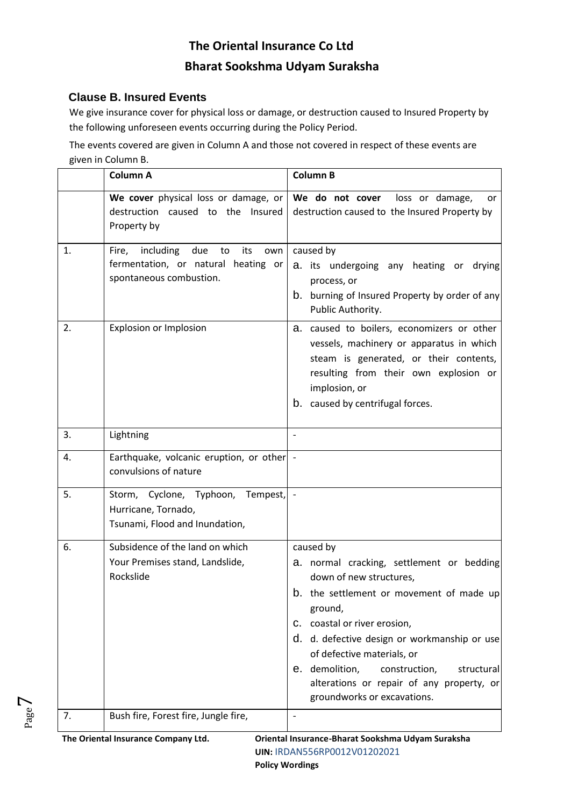## **Clause B. Insured Events**

Page  $\overline{\phantom{a}}$ 

We give insurance cover for physical loss or damage, or destruction caused to Insured Property by the following unforeseen events occurring during the Policy Period.

The events covered are given in Column A and those not covered in respect of these events are given in Column B.

|    | <b>Column A</b>                                                                                                 | <b>Column B</b>                                                                                                                                                                                                                                                                                                                                                                        |
|----|-----------------------------------------------------------------------------------------------------------------|----------------------------------------------------------------------------------------------------------------------------------------------------------------------------------------------------------------------------------------------------------------------------------------------------------------------------------------------------------------------------------------|
|    | We cover physical loss or damage, or<br>destruction caused to the Insured<br>Property by                        | We do not cover<br>loss or damage,<br>or<br>destruction caused to the Insured Property by                                                                                                                                                                                                                                                                                              |
| 1. | including<br>due<br>Fire,<br>to<br>its<br>own<br>fermentation, or natural heating or<br>spontaneous combustion. | caused by<br>a. its undergoing any heating or drying<br>process, or<br>burning of Insured Property by order of any<br>b.<br>Public Authority.                                                                                                                                                                                                                                          |
| 2. | Explosion or Implosion                                                                                          | a. caused to boilers, economizers or other<br>vessels, machinery or apparatus in which<br>steam is generated, or their contents,<br>resulting from their own explosion or<br>implosion, or<br>b. caused by centrifugal forces.                                                                                                                                                         |
| 3. | Lightning                                                                                                       |                                                                                                                                                                                                                                                                                                                                                                                        |
| 4. | Earthquake, volcanic eruption, or other -<br>convulsions of nature                                              |                                                                                                                                                                                                                                                                                                                                                                                        |
| 5. | Storm, Cyclone, Typhoon, Tempest,<br>Hurricane, Tornado,<br>Tsunami, Flood and Inundation,                      |                                                                                                                                                                                                                                                                                                                                                                                        |
| 6. | Subsidence of the land on which<br>Your Premises stand, Landslide,<br>Rockslide                                 | caused by<br>a. normal cracking, settlement or bedding<br>down of new structures,<br>the settlement or movement of made up<br>b.<br>ground,<br>C. coastal or river erosion,<br>d. d. defective design or workmanship or use<br>of defective materials, or<br>e. demolition,<br>structural<br>construction,<br>alterations or repair of any property, or<br>groundworks or excavations. |
| 7. | Bush fire, Forest fire, Jungle fire,                                                                            |                                                                                                                                                                                                                                                                                                                                                                                        |
|    | The Oriental Insurance Company Ltd.                                                                             | Oriental Insurance-Bharat Sookshma Udyam Suraksha<br>UIN: IRDAN556RP0012V01202021                                                                                                                                                                                                                                                                                                      |

**Policy Wordings**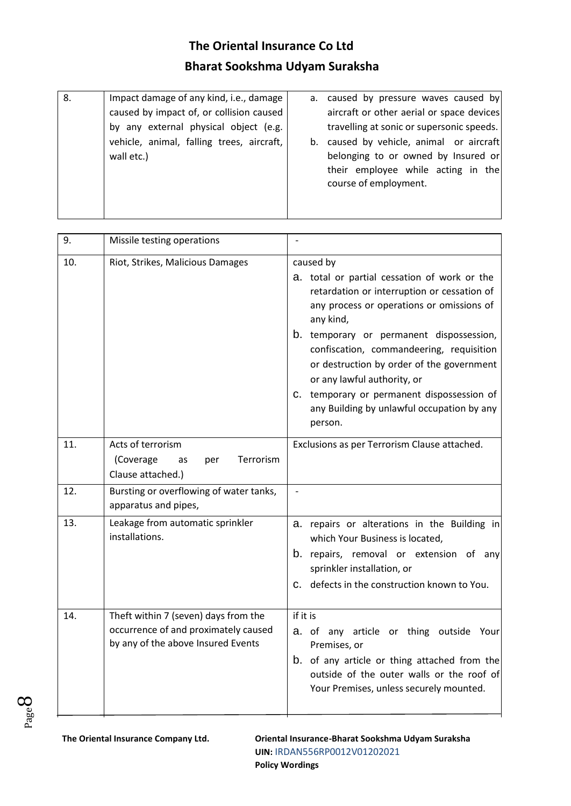| 8. | Impact damage of any kind, i.e., damage   | a. caused by pressure waves caused by     |
|----|-------------------------------------------|-------------------------------------------|
|    | caused by impact of, or collision caused  | aircraft or other aerial or space devices |
|    | by any external physical object (e.g.     | travelling at sonic or supersonic speeds. |
|    | vehicle, animal, falling trees, aircraft, | b. caused by vehicle, animal or aircraft  |
|    | wall etc.)                                | belonging to or owned by Insured or       |
|    |                                           | their employee while acting in the        |
|    |                                           | course of employment.                     |
|    |                                           |                                           |
|    |                                           |                                           |

| 9.  | Missile testing operations                                                                                         |                                                                                                                                                                                                                                                                                                                                                                                                                                               |
|-----|--------------------------------------------------------------------------------------------------------------------|-----------------------------------------------------------------------------------------------------------------------------------------------------------------------------------------------------------------------------------------------------------------------------------------------------------------------------------------------------------------------------------------------------------------------------------------------|
| 10. | Riot, Strikes, Malicious Damages                                                                                   | caused by<br>a. total or partial cessation of work or the<br>retardation or interruption or cessation of<br>any process or operations or omissions of<br>any kind,<br>b. temporary or permanent dispossession,<br>confiscation, commandeering, requisition<br>or destruction by order of the government<br>or any lawful authority, or<br>C. temporary or permanent dispossession of<br>any Building by unlawful occupation by any<br>person. |
| 11. | Acts of terrorism<br>Terrorism<br>(Coverage<br>as<br>per<br>Clause attached.)                                      | Exclusions as per Terrorism Clause attached.                                                                                                                                                                                                                                                                                                                                                                                                  |
| 12. | Bursting or overflowing of water tanks,<br>apparatus and pipes,                                                    | $\overline{\phantom{a}}$                                                                                                                                                                                                                                                                                                                                                                                                                      |
| 13. | Leakage from automatic sprinkler<br>installations.                                                                 | a. repairs or alterations in the Building in<br>which Your Business is located,<br>b. repairs, removal or extension of any<br>sprinkler installation, or<br>defects in the construction known to You.<br>$\mathsf{C}$ .                                                                                                                                                                                                                       |
| 14. | Theft within 7 (seven) days from the<br>occurrence of and proximately caused<br>by any of the above Insured Events | if it is<br>a. of any article or thing outside Your<br>Premises, or<br>b. of any article or thing attached from the<br>outside of the outer walls or the roof of<br>Your Premises, unless securely mounted.                                                                                                                                                                                                                                   |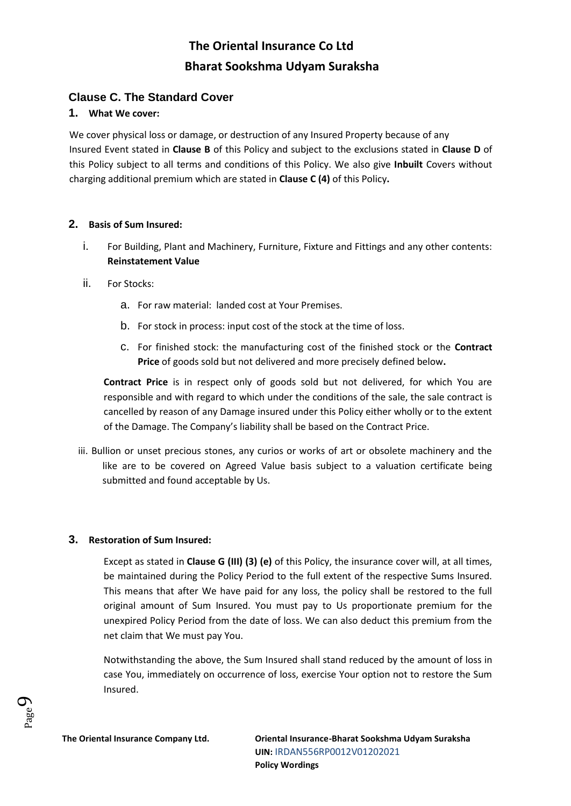## **Clause C. The Standard Cover**

#### **1. What We cover:**

We cover physical loss or damage, or destruction of any Insured Property because of any Insured Event stated in **Clause B** of this Policy and subject to the exclusions stated in **Clause D** of this Policy subject to all terms and conditions of this Policy. We also give **Inbuilt** Covers without charging additional premium which are stated in **Clause C (4)** of this Policy**.** 

#### **2. Basis of Sum Insured:**

- i. For Building, Plant and Machinery, Furniture, Fixture and Fittings and any other contents: **Reinstatement Value**
- ii. For Stocks:
	- a. For raw material: landed cost at Your Premises.
	- b. For stock in process: input cost of the stock at the time of loss.
	- c. For finished stock: the manufacturing cost of the finished stock or the **Contract Price** of goods sold but not delivered and more precisely defined below**.**

**Contract Price** is in respect only of goods sold but not delivered, for which You are responsible and with regard to which under the conditions of the sale, the sale contract is cancelled by reason of any Damage insured under this Policy either wholly or to the extent of the Damage. The Company's liability shall be based on the Contract Price.

iii. Bullion or unset precious stones, any curios or works of art or obsolete machinery and the like are to be covered on Agreed Value basis subject to a valuation certificate being submitted and found acceptable by Us.

#### **3. Restoration of Sum Insured:**

Except as stated in **Clause G (III) (3) (e)** of this Policy, the insurance cover will, at all times, be maintained during the Policy Period to the full extent of the respective Sums Insured. This means that after We have paid for any loss, the policy shall be restored to the full original amount of Sum Insured. You must pay to Us proportionate premium for the unexpired Policy Period from the date of loss. We can also deduct this premium from the net claim that We must pay You.

Notwithstanding the above, the Sum Insured shall stand reduced by the amount of loss in case You, immediately on occurrence of loss, exercise Your option not to restore the Sum Insured.

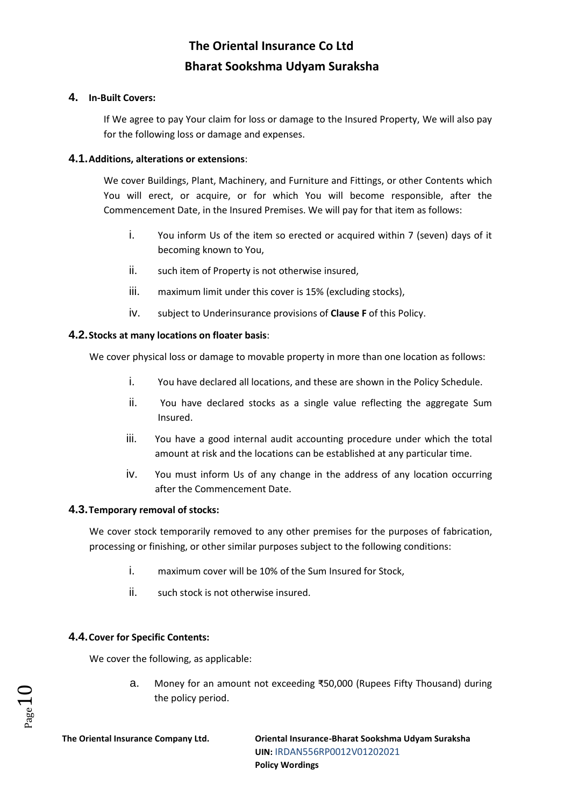#### **4. In-Built Covers:**

If We agree to pay Your claim for loss or damage to the Insured Property, We will also pay for the following loss or damage and expenses.

#### **4.1.Additions, alterations or extensions**:

We cover Buildings, Plant, Machinery, and Furniture and Fittings, or other Contents which You will erect, or acquire, or for which You will become responsible, after the Commencement Date, in the Insured Premises. We will pay for that item as follows:

- i. You inform Us of the item so erected or acquired within 7 (seven) days of it becoming known to You,
- ii. such item of Property is not otherwise insured,
- iii. maximum limit under this cover is 15% (excluding stocks),
- iv. subject to Underinsurance provisions of **Clause F** of this Policy.

#### **4.2.Stocks at many locations on floater basis**:

We cover physical loss or damage to movable property in more than one location as follows:

- i. You have declared all locations, and these are shown in the Policy Schedule.
- ii. You have declared stocks as a single value reflecting the aggregate Sum Insured.
- iii. You have a good internal audit accounting procedure under which the total amount at risk and the locations can be established at any particular time.
- iv. You must inform Us of any change in the address of any location occurring after the Commencement Date.

## **4.3.Temporary removal of stocks:**

We cover stock temporarily removed to any other premises for the purposes of fabrication, processing or finishing, or other similar purposes subject to the following conditions:

- i. maximum cover will be 10% of the Sum Insured for Stock,
- ii. such stock is not otherwise insured.

## **4.4.Cover for Specific Contents:**

We cover the following, as applicable:

a. Money for an amount not exceeding ₹50,000 (Rupees Fifty Thousand) during the policy period.

 $P$ age $\mathbf 1$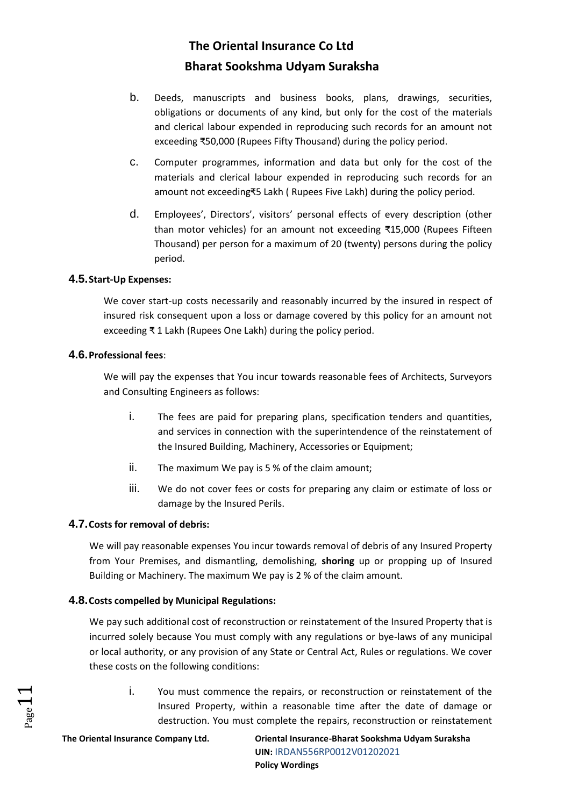- b. Deeds, manuscripts and business books, plans, drawings, securities, obligations or documents of any kind, but only for the cost of the materials and clerical labour expended in reproducing such records for an amount not exceeding ₹50,000 (Rupees Fifty Thousand) during the policy period.
- c. Computer programmes, information and data but only for the cost of the materials and clerical labour expended in reproducing such records for an amount not exceeding₹5 Lakh ( Rupees Five Lakh) during the policy period.
- d. Employees', Directors', visitors' personal effects of every description (other than motor vehicles) for an amount not exceeding ₹15,000 (Rupees Fifteen Thousand) per person for a maximum of 20 (twenty) persons during the policy period.

#### **4.5.Start-Up Expenses:**

We cover start-up costs necessarily and reasonably incurred by the insured in respect of insured risk consequent upon a loss or damage covered by this policy for an amount not exceeding ₹ 1 Lakh (Rupees One Lakh) during the policy period.

#### **4.6.Professional fees**:

We will pay the expenses that You incur towards reasonable fees of Architects, Surveyors and Consulting Engineers as follows:

- i. The fees are paid for preparing plans, specification tenders and quantities, and services in connection with the superintendence of the reinstatement of the Insured Building, Machinery, Accessories or Equipment;
- ii. The maximum We pay is 5 % of the claim amount;
- iii. We do not cover fees or costs for preparing any claim or estimate of loss or damage by the Insured Perils.

## **4.7.Costs for removal of debris:**

We will pay reasonable expenses You incur towards removal of debris of any Insured Property from Your Premises, and dismantling, demolishing, **shoring** up or propping up of Insured Building or Machinery. The maximum We pay is 2 % of the claim amount.

## **4.8.Costs compelled by Municipal Regulations:**

We pay such additional cost of reconstruction or reinstatement of the Insured Property that is incurred solely because You must comply with any regulations or bye-laws of any municipal or local authority, or any provision of any State or Central Act, Rules or regulations. We cover these costs on the following conditions:

i. You must commence the repairs, or reconstruction or reinstatement of the Insured Property, within a reasonable time after the date of damage or destruction. You must complete the repairs, reconstruction or reinstatement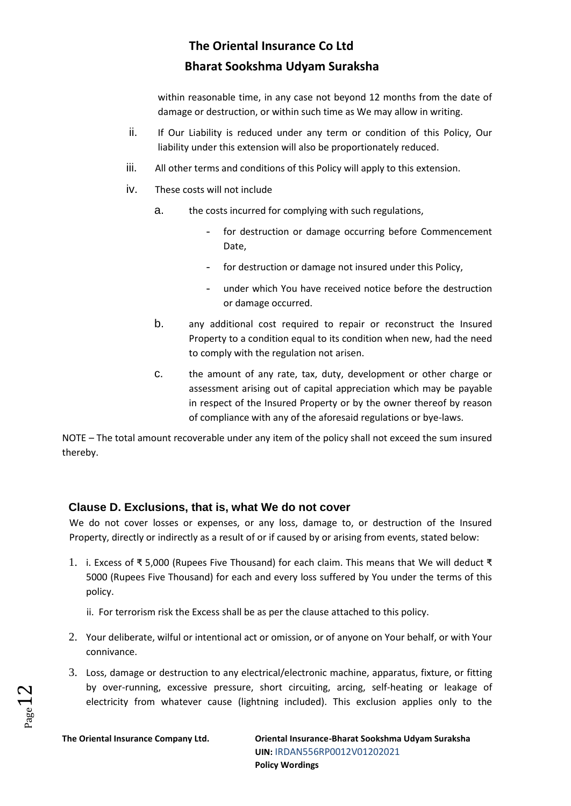within reasonable time, in any case not beyond 12 months from the date of damage or destruction, or within such time as We may allow in writing.

- ii. If Our Liability is reduced under any term or condition of this Policy, Our liability under this extension will also be proportionately reduced.
- iii. All other terms and conditions of this Policy will apply to this extension.
- iv. These costs will not include
	- a. the costs incurred for complying with such regulations,
		- for destruction or damage occurring before Commencement Date,
		- for destruction or damage not insured under this Policy,
		- under which You have received notice before the destruction or damage occurred.
	- b. any additional cost required to repair or reconstruct the Insured Property to a condition equal to its condition when new, had the need to comply with the regulation not arisen.
	- c. the amount of any rate, tax, duty, development or other charge or assessment arising out of capital appreciation which may be payable in respect of the Insured Property or by the owner thereof by reason of compliance with any of the aforesaid regulations or bye-laws.

NOTE – The total amount recoverable under any item of the policy shall not exceed the sum insured thereby.

## **Clause D. Exclusions, that is, what We do not cover**

We do not cover losses or expenses, or any loss, damage to, or destruction of the Insured Property, directly or indirectly as a result of or if caused by or arising from events, stated below:

- 1. i. Excess of ₹ 5,000 (Rupees Five Thousand) for each claim. This means that We will deduct ₹ 5000 (Rupees Five Thousand) for each and every loss suffered by You under the terms of this policy.
	- ii. For terrorism risk the Excess shall be as per the clause attached to this policy.
- 2. Your deliberate, wilful or intentional act or omission, or of anyone on Your behalf, or with Your connivance.
- 3. Loss, damage or destruction to any electrical/electronic machine, apparatus, fixture, or fitting by over-running, excessive pressure, short circuiting, arcing, self-heating or leakage of electricity from whatever cause (lightning included). This exclusion applies only to the

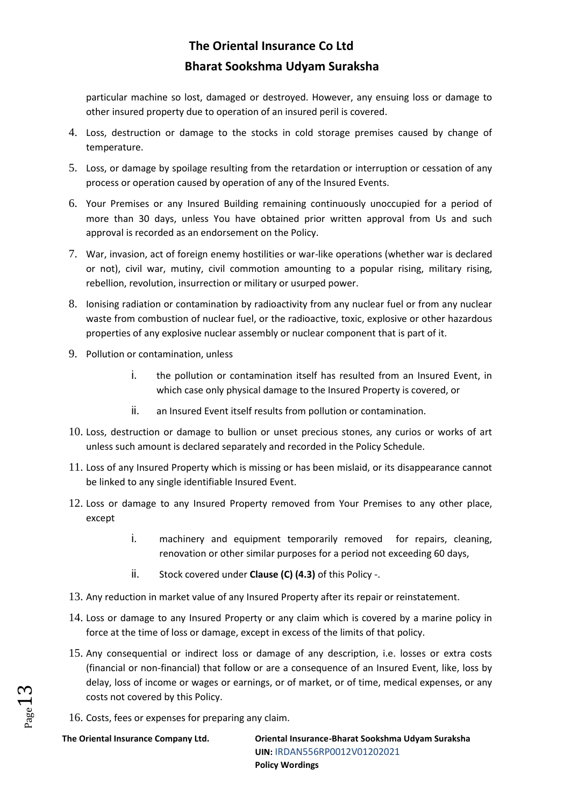particular machine so lost, damaged or destroyed. However, any ensuing loss or damage to other insured property due to operation of an insured peril is covered.

- 4. Loss, destruction or damage to the stocks in cold storage premises caused by change of temperature.
- 5. Loss, or damage by spoilage resulting from the retardation or interruption or cessation of any process or operation caused by operation of any of the Insured Events.
- 6. Your Premises or any Insured Building remaining continuously unoccupied for a period of more than 30 days, unless You have obtained prior written approval from Us and such approval is recorded as an endorsement on the Policy.
- 7. War, invasion, act of foreign enemy hostilities or war-like operations (whether war is declared or not), civil war, mutiny, civil commotion amounting to a popular rising, military rising, rebellion, revolution, insurrection or military or usurped power.
- 8. Ionising radiation or contamination by radioactivity from any nuclear fuel or from any nuclear waste from combustion of nuclear fuel, or the radioactive, toxic, explosive or other hazardous properties of any explosive nuclear assembly or nuclear component that is part of it.
- 9. Pollution or contamination, unless
	- i. the pollution or contamination itself has resulted from an Insured Event, in which case only physical damage to the Insured Property is covered, or
	- ii. an Insured Event itself results from pollution or contamination.
- 10. Loss, destruction or damage to bullion or unset precious stones, any curios or works of art unless such amount is declared separately and recorded in the Policy Schedule.
- 11. Loss of any Insured Property which is missing or has been mislaid, or its disappearance cannot be linked to any single identifiable Insured Event.
- 12. Loss or damage to any Insured Property removed from Your Premises to any other place, except
	- i. machinery and equipment temporarily removed for repairs, cleaning, renovation or other similar purposes for a period not exceeding 60 days,
	- ii. Stock covered under **Clause (C) (4.3)** of this Policy -.
- 13. Any reduction in market value of any Insured Property after its repair or reinstatement.
- 14. Loss or damage to any Insured Property or any claim which is covered by a marine policy in force at the time of loss or damage, except in excess of the limits of that policy.
- 15. Any consequential or indirect loss or damage of any description, i.e. losses or extra costs (financial or non-financial) that follow or are a consequence of an Insured Event, like, loss by delay, loss of income or wages or earnings, or of market, or of time, medical expenses, or any costs not covered by this Policy.
- 16. Costs, fees or expenses for preparing any claim.

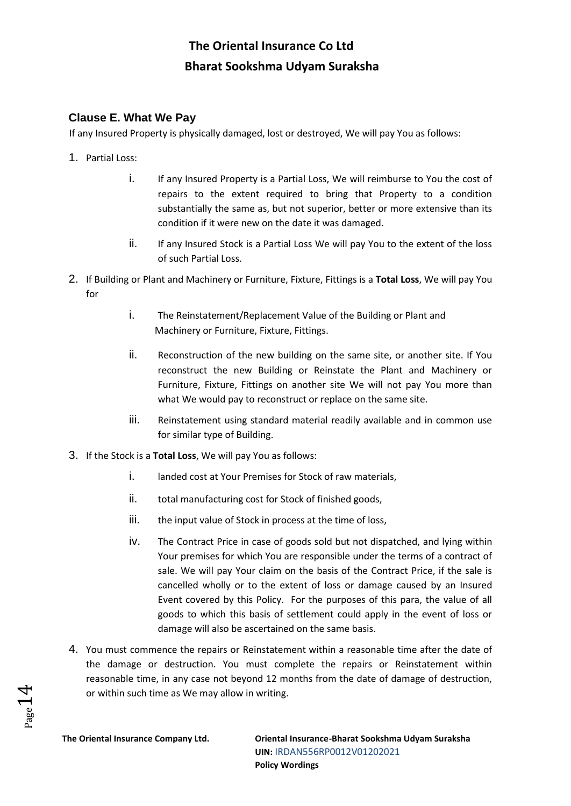## **Clause E. What We Pay**

If any Insured Property is physically damaged, lost or destroyed, We will pay You as follows:

- 1. Partial Loss:
	- i. If any Insured Property is a Partial Loss, We will reimburse to You the cost of repairs to the extent required to bring that Property to a condition substantially the same as, but not superior, better or more extensive than its condition if it were new on the date it was damaged.
	- ii. If any Insured Stock is a Partial Loss We will pay You to the extent of the loss of such Partial Loss.
- 2. If Building or Plant and Machinery or Furniture, Fixture, Fittings is a **Total Loss**, We will pay You for
	- i. The Reinstatement/Replacement Value of the Building or Plant and Machinery or Furniture, Fixture, Fittings.
	- ii. Reconstruction of the new building on the same site, or another site. If You reconstruct the new Building or Reinstate the Plant and Machinery or Furniture, Fixture, Fittings on another site We will not pay You more than what We would pay to reconstruct or replace on the same site.
	- iii. Reinstatement using standard material readily available and in common use for similar type of Building.
- 3. If the Stock is a **Total Loss**, We will pay You as follows:
	- i. landed cost at Your Premises for Stock of raw materials,
	- ii. total manufacturing cost for Stock of finished goods,
	- iii. the input value of Stock in process at the time of loss,
	- iv. The Contract Price in case of goods sold but not dispatched, and lying within Your premises for which You are responsible under the terms of a contract of sale. We will pay Your claim on the basis of the Contract Price, if the sale is cancelled wholly or to the extent of loss or damage caused by an Insured Event covered by this Policy. For the purposes of this para, the value of all goods to which this basis of settlement could apply in the event of loss or damage will also be ascertained on the same basis.
- 4. You must commence the repairs or Reinstatement within a reasonable time after the date of the damage or destruction. You must complete the repairs or Reinstatement within reasonable time, in any case not beyond 12 months from the date of damage of destruction, or within such time as We may allow in writing.

 $P_{\rm age}$  14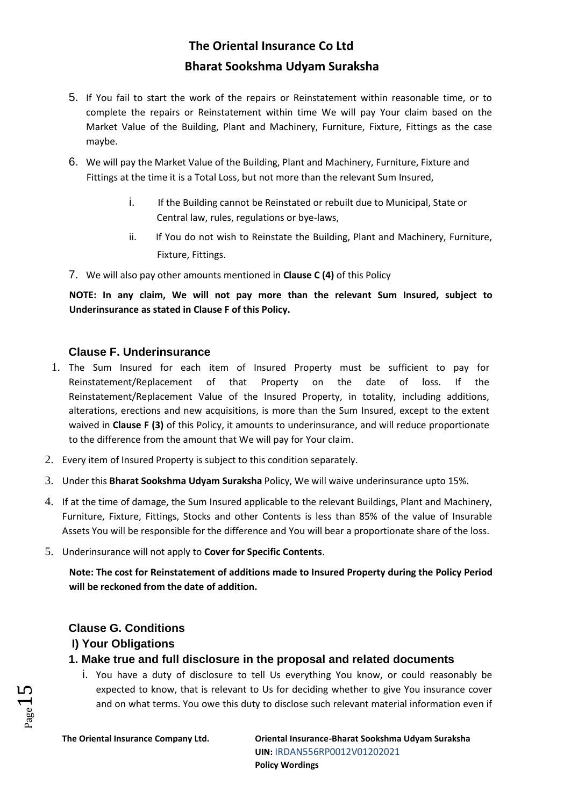- 5. If You fail to start the work of the repairs or Reinstatement within reasonable time, or to complete the repairs or Reinstatement within time We will pay Your claim based on the Market Value of the Building, Plant and Machinery, Furniture, Fixture, Fittings as the case maybe.
- 6. We will pay the Market Value of the Building, Plant and Machinery, Furniture, Fixture and Fittings at the time it is a Total Loss, but not more than the relevant Sum Insured,
	- i. If the Building cannot be Reinstated or rebuilt due to Municipal, State or Central law, rules, regulations or bye-laws,
	- ii. If You do not wish to Reinstate the Building, Plant and Machinery, Furniture, Fixture, Fittings.
- 7. We will also pay other amounts mentioned in **Clause C (4)** of this Policy

**NOTE: In any claim, We will not pay more than the relevant Sum Insured, subject to Underinsurance as stated in Clause F of this Policy.**

## **Clause F. Underinsurance**

- 1. The Sum Insured for each item of Insured Property must be sufficient to pay for Reinstatement/Replacement of that Property on the date of loss. If the Reinstatement/Replacement Value of the Insured Property, in totality, including additions, alterations, erections and new acquisitions, is more than the Sum Insured, except to the extent waived in **Clause F (3)** of this Policy, it amounts to underinsurance, and will reduce proportionate to the difference from the amount that We will pay for Your claim.
- 2. Every item of Insured Property is subject to this condition separately.
- 3. Under this **Bharat Sookshma Udyam Suraksha** Policy, We will waive underinsurance upto 15%.
- 4. If at the time of damage, the Sum Insured applicable to the relevant Buildings, Plant and Machinery, Furniture, Fixture, Fittings, Stocks and other Contents is less than 85% of the value of Insurable Assets You will be responsible for the difference and You will bear a proportionate share of the loss.
- 5. Underinsurance will not apply to **Cover for Specific Contents**.

**Note: The cost for Reinstatement of additions made to Insured Property during the Policy Period will be reckoned from the date of addition.** 

## **Clause G. Conditions**

## **I) Your Obligations**

- **1. Make true and full disclosure in the proposal and related documents**
	- i. You have a duty of disclosure to tell Us everything You know, or could reasonably be expected to know, that is relevant to Us for deciding whether to give You insurance cover and on what terms. You owe this duty to disclose such relevant material information even if

 $_{\rm Page}15$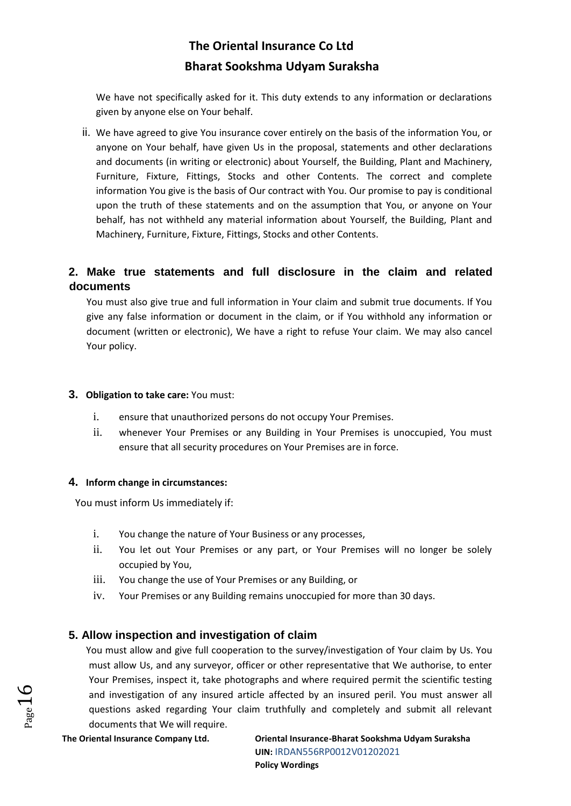We have not specifically asked for it. This duty extends to any information or declarations given by anyone else on Your behalf.

ii. We have agreed to give You insurance cover entirely on the basis of the information You, or anyone on Your behalf, have given Us in the proposal, statements and other declarations and documents (in writing or electronic) about Yourself, the Building, Plant and Machinery, Furniture, Fixture, Fittings, Stocks and other Contents. The correct and complete information You give is the basis of Our contract with You. Our promise to pay is conditional upon the truth of these statements and on the assumption that You, or anyone on Your behalf, has not withheld any material information about Yourself, the Building, Plant and Machinery, Furniture, Fixture, Fittings, Stocks and other Contents.

# **2. Make true statements and full disclosure in the claim and related documents**

You must also give true and full information in Your claim and submit true documents. If You give any false information or document in the claim, or if You withhold any information or document (written or electronic), We have a right to refuse Your claim. We may also cancel Your policy.

#### **3. Obligation to take care:** You must:

- i. ensure that unauthorized persons do not occupy Your Premises.
- ii. whenever Your Premises or any Building in Your Premises is unoccupied, You must ensure that all security procedures on Your Premises are in force.

## **4. Inform change in circumstances:**

You must inform Us immediately if:

- i. You change the nature of Your Business or any processes,
- ii. You let out Your Premises or any part, or Your Premises will no longer be solely occupied by You,
- iii. You change the use of Your Premises or any Building, or
- iv. Your Premises or any Building remains unoccupied for more than 30 days.

## **5. Allow inspection and investigation of claim**

You must allow and give full cooperation to the survey/investigation of Your claim by Us. You must allow Us, and any surveyor, officer or other representative that We authorise, to enter Your Premises, inspect it, take photographs and where required permit the scientific testing and investigation of any insured article affected by an insured peril. You must answer all questions asked regarding Your claim truthfully and completely and submit all relevant documents that We will require.

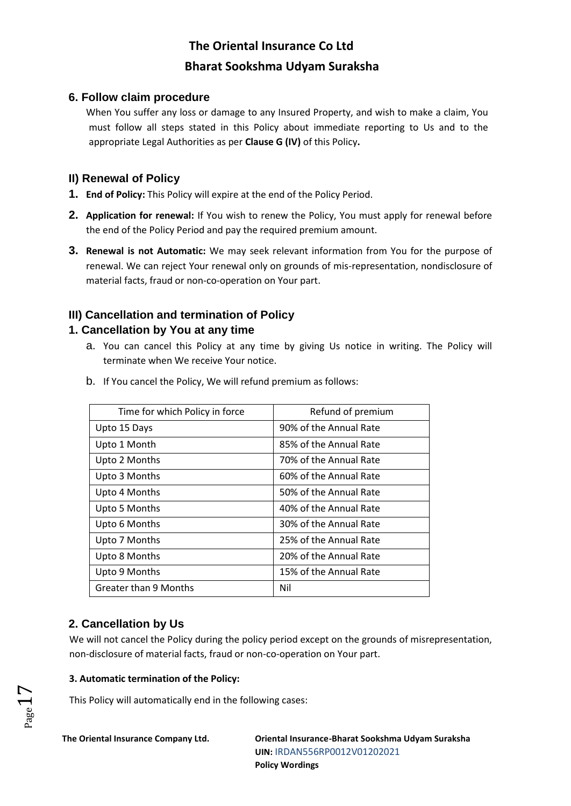## **6. Follow claim procedure**

When You suffer any loss or damage to any Insured Property, and wish to make a claim, You must follow all steps stated in this Policy about immediate reporting to Us and to the appropriate Legal Authorities as per **Clause G (IV)** of this Policy**.** 

## **II) Renewal of Policy**

- **1. End of Policy:** This Policy will expire at the end of the Policy Period.
- **2. Application for renewal:** If You wish to renew the Policy, You must apply for renewal before the end of the Policy Period and pay the required premium amount.
- **3. Renewal is not Automatic:** We may seek relevant information from You for the purpose of renewal. We can reject Your renewal only on grounds of mis-representation, nondisclosure of material facts, fraud or non-co-operation on Your part.

# **III) Cancellation and termination of Policy**

## **1. Cancellation by You at any time**

a. You can cancel this Policy at any time by giving Us notice in writing. The Policy will terminate when We receive Your notice.

| Time for which Policy in force | Refund of premium      |
|--------------------------------|------------------------|
| Upto 15 Days                   | 90% of the Annual Rate |
| Upto 1 Month                   | 85% of the Annual Rate |
| Upto 2 Months                  | 70% of the Annual Rate |
| Upto 3 Months                  | 60% of the Annual Rate |
| Upto 4 Months                  | 50% of the Annual Rate |
| Upto 5 Months                  | 40% of the Annual Rate |
| Upto 6 Months                  | 30% of the Annual Rate |
| Upto 7 Months                  | 25% of the Annual Rate |
| Upto 8 Months                  | 20% of the Annual Rate |
| Upto 9 Months                  | 15% of the Annual Rate |
| Greater than 9 Months          | Nil                    |

b. If You cancel the Policy, We will refund premium as follows:

# **2. Cancellation by Us**

We will not cancel the Policy during the policy period except on the grounds of misrepresentation, non-disclosure of material facts, fraud or non-co-operation on Your part.

## **3. Automatic termination of the Policy:**

This Policy will automatically end in the following cases:

 $_{\rm Page}1$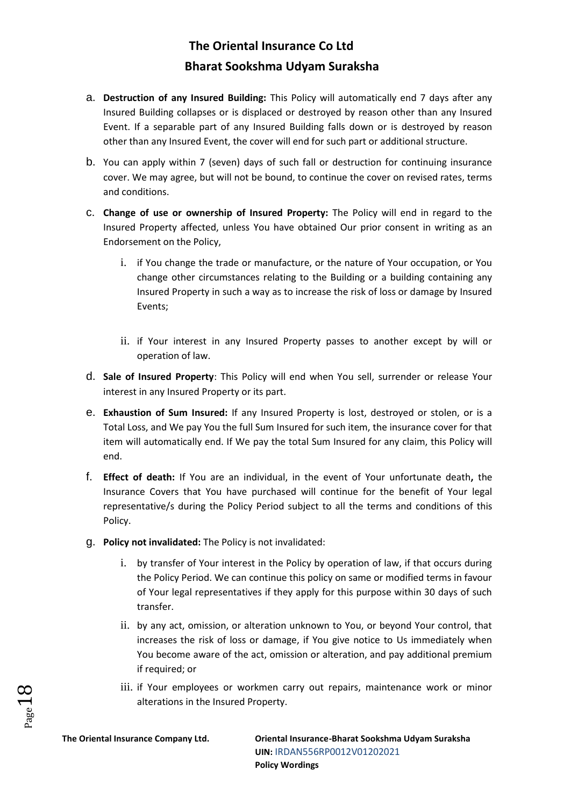- a. **Destruction of any Insured Building:** This Policy will automatically end 7 days after any Insured Building collapses or is displaced or destroyed by reason other than any Insured Event. If a separable part of any Insured Building falls down or is destroyed by reason other than any Insured Event, the cover will end for such part or additional structure.
- b. You can apply within 7 (seven) days of such fall or destruction for continuing insurance cover. We may agree, but will not be bound, to continue the cover on revised rates, terms and conditions.
- c. **Change of use or ownership of Insured Property:** The Policy will end in regard to the Insured Property affected, unless You have obtained Our prior consent in writing as an Endorsement on the Policy,
	- i. if You change the trade or manufacture, or the nature of Your occupation, or You change other circumstances relating to the Building or a building containing any Insured Property in such a way as to increase the risk of loss or damage by Insured Events;
	- ii. if Your interest in any Insured Property passes to another except by will or operation of law.
- d. **Sale of Insured Property**: This Policy will end when You sell, surrender or release Your interest in any Insured Property or its part.
- e. **Exhaustion of Sum Insured:** If any Insured Property is lost, destroyed or stolen, or is a Total Loss, and We pay You the full Sum Insured for such item, the insurance cover for that item will automatically end. If We pay the total Sum Insured for any claim, this Policy will end.
- f. **Effect of death:** If You are an individual, in the event of Your unfortunate death**,** the Insurance Covers that You have purchased will continue for the benefit of Your legal representative/s during the Policy Period subject to all the terms and conditions of this Policy.
- g. **Policy not invalidated:** The Policy is not invalidated:
	- i. by transfer of Your interest in the Policy by operation of law, if that occurs during the Policy Period. We can continue this policy on same or modified terms in favour of Your legal representatives if they apply for this purpose within 30 days of such transfer.
	- ii. by any act, omission, or alteration unknown to You, or beyond Your control, that increases the risk of loss or damage, if You give notice to Us immediately when You become aware of the act, omission or alteration, and pay additional premium if required; or
	- iii. if Your employees or workmen carry out repairs, maintenance work or minor alterations in the Insured Property.

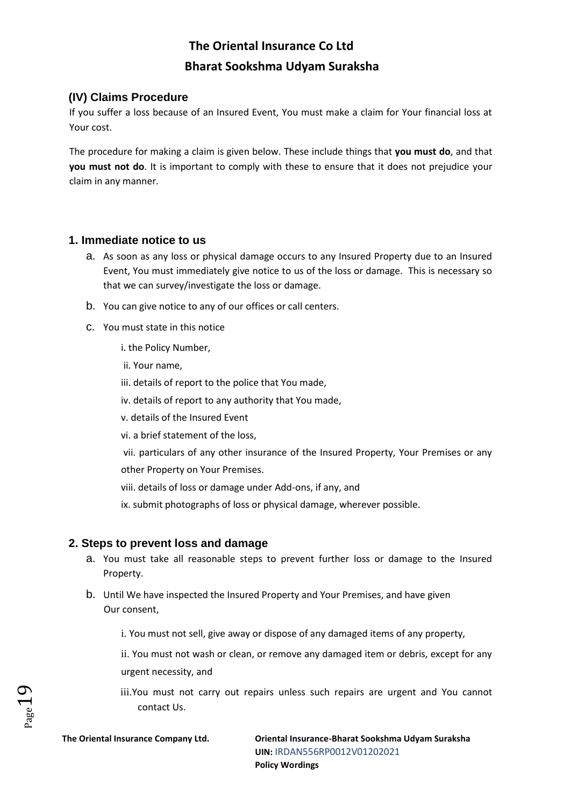## **(IV) Claims Procedure**

If you suffer a loss because of an Insured Event, You must make a claim for Your financial loss at Your cost.

The procedure for making a claim is given below. These include things that **you must do**, and that **you must not do**. It is important to comply with these to ensure that it does not prejudice your claim in any manner.

## **1. Immediate notice to us**

- a. As soon as any loss or physical damage occurs to any Insured Property due to an Insured Event, You must immediately give notice to us of the loss or damage. This is necessary so that we can survey/investigate the loss or damage.
- b. You can give notice to any of our offices or call centers.
- c. You must state in this notice
	- i. the Policy Number,
	- ii. Your name,
	- iii. details of report to the police that You made,
	- iv. details of report to any authority that You made,
	- v. details of the Insured Event
	- vi. a brief statement of the loss,
	- vii. particulars of any other insurance of the Insured Property, Your Premises or any other Property on Your Premises.
	- viii. details of loss or damage under Add-ons, if any, and
	- ix. submit photographs of loss or physical damage, wherever possible.

## **2. Steps to prevent loss and damage**

- a. You must take all reasonable steps to prevent further loss or damage to the Insured Property.
- b. Until We have inspected the Insured Property and Your Premises, and have given Our consent,
	- i. You must not sell, give away or dispose of any damaged items of any property,
	- ii. You must not wash or clean, or remove any damaged item or debris, except for any urgent necessity, and
	- iii.You must not carry out repairs unless such repairs are urgent and You cannot contact Us.

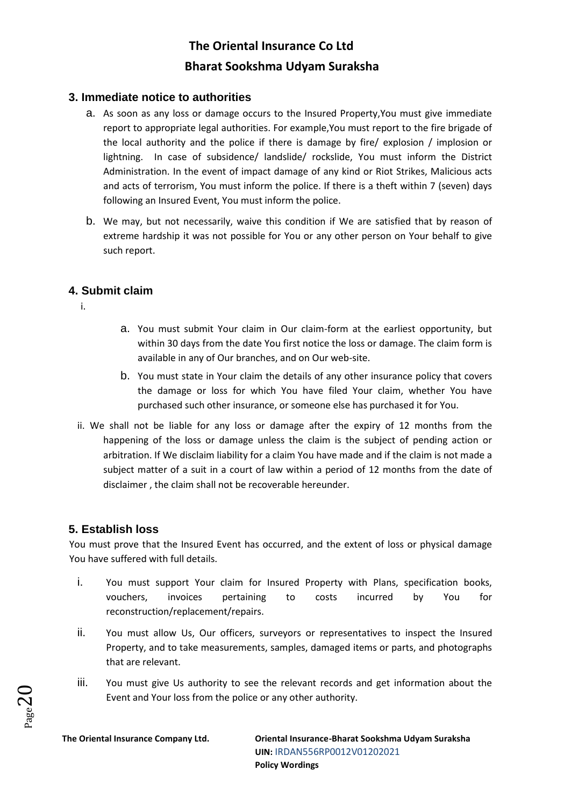## **3. Immediate notice to authorities**

- a. As soon as any loss or damage occurs to the Insured Property,You must give immediate report to appropriate legal authorities. For example,You must report to the fire brigade of the local authority and the police if there is damage by fire/ explosion / implosion or lightning. In case of subsidence/ landslide/ rockslide, You must inform the District Administration. In the event of impact damage of any kind or Riot Strikes, Malicious acts and acts of terrorism, You must inform the police. If there is a theft within 7 (seven) days following an Insured Event, You must inform the police.
- b. We may, but not necessarily, waive this condition if We are satisfied that by reason of extreme hardship it was not possible for You or any other person on Your behalf to give such report.

## **4. Submit claim**

i.

- a. You must submit Your claim in Our claim-form at the earliest opportunity, but within 30 days from the date You first notice the loss or damage. The claim form is available in any of Our branches, and on Our web-site.
- b. You must state in Your claim the details of any other insurance policy that covers the damage or loss for which You have filed Your claim, whether You have purchased such other insurance, or someone else has purchased it for You.
- ii. We shall not be liable for any loss or damage after the expiry of 12 months from the happening of the loss or damage unless the claim is the subject of pending action or arbitration. If We disclaim liability for a claim You have made and if the claim is not made a subject matter of a suit in a court of law within a period of 12 months from the date of disclaimer , the claim shall not be recoverable hereunder.

## **5. Establish loss**

You must prove that the Insured Event has occurred, and the extent of loss or physical damage You have suffered with full details.

- i. You must support Your claim for Insured Property with Plans, specification books, vouchers, invoices pertaining to costs incurred by You for reconstruction/replacement/repairs.
- ii. You must allow Us, Our officers, surveyors or representatives to inspect the Insured Property, and to take measurements, samples, damaged items or parts, and photographs that are relevant.
- iii. You must give Us authority to see the relevant records and get information about the Event and Your loss from the police or any other authority.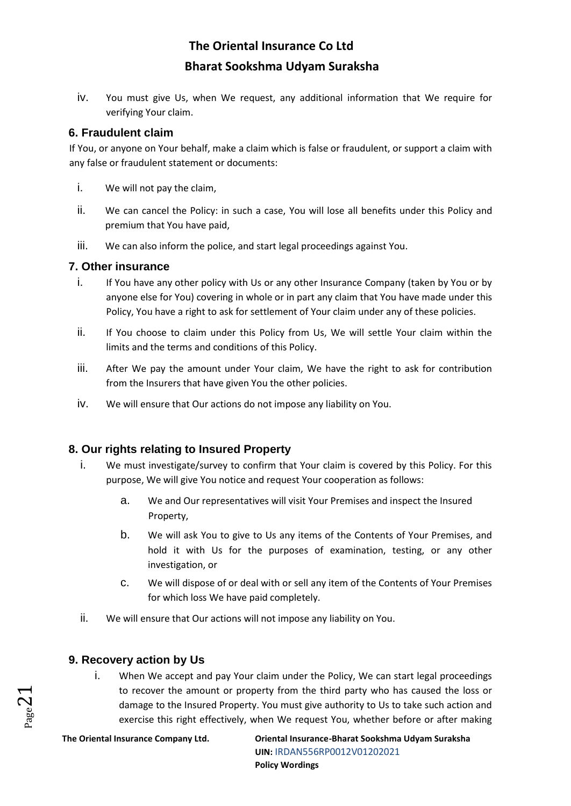iv. You must give Us, when We request, any additional information that We require for verifying Your claim.

## **6. Fraudulent claim**

If You, or anyone on Your behalf, make a claim which is false or fraudulent, or support a claim with any false or fraudulent statement or documents:

- i. We will not pay the claim,
- ii. We can cancel the Policy: in such a case, You will lose all benefits under this Policy and premium that You have paid,
- iii. We can also inform the police, and start legal proceedings against You.

## **7. Other insurance**

- i. If You have any other policy with Us or any other Insurance Company (taken by You or by anyone else for You) covering in whole or in part any claim that You have made under this Policy, You have a right to ask for settlement of Your claim under any of these policies.
- ii. If You choose to claim under this Policy from Us, We will settle Your claim within the limits and the terms and conditions of this Policy.
- iii. After We pay the amount under Your claim, We have the right to ask for contribution from the Insurers that have given You the other policies.
- iv. We will ensure that Our actions do not impose any liability on You.

## **8. Our rights relating to Insured Property**

- i. We must investigate/survey to confirm that Your claim is covered by this Policy. For this purpose, We will give You notice and request Your cooperation as follows:
	- a. We and Our representatives will visit Your Premises and inspect the Insured Property,
	- b. We will ask You to give to Us any items of the Contents of Your Premises, and hold it with Us for the purposes of examination, testing, or any other investigation, or
	- c. We will dispose of or deal with or sell any item of the Contents of Your Premises for which loss We have paid completely.
- ii. We will ensure that Our actions will not impose any liability on You.

## **9. Recovery action by Us**

i. When We accept and pay Your claim under the Policy, We can start legal proceedings to recover the amount or property from the third party who has caused the loss or damage to the Insured Property. You must give authority to Us to take such action and exercise this right effectively, when We request You, whether before or after making

 $_{\rm Page}$ 21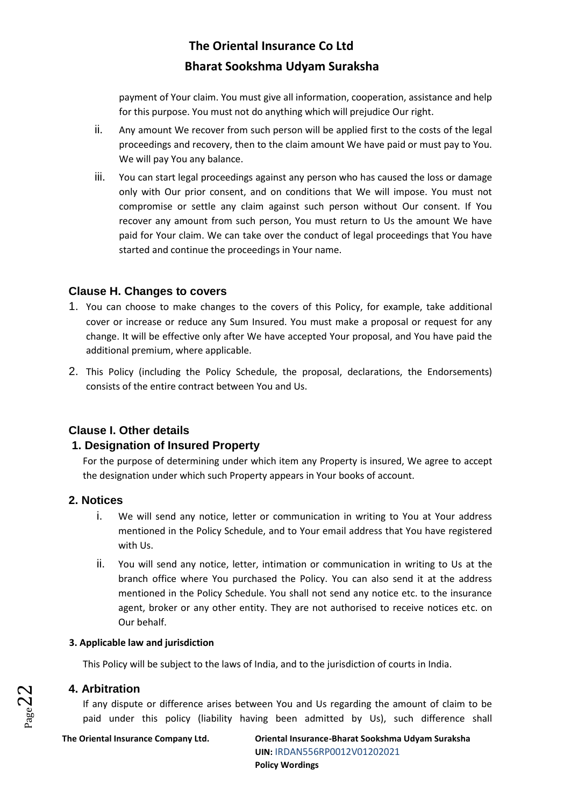payment of Your claim. You must give all information, cooperation, assistance and help for this purpose. You must not do anything which will prejudice Our right.

- ii. Any amount We recover from such person will be applied first to the costs of the legal proceedings and recovery, then to the claim amount We have paid or must pay to You. We will pay You any balance.
- iii. You can start legal proceedings against any person who has caused the loss or damage only with Our prior consent, and on conditions that We will impose. You must not compromise or settle any claim against such person without Our consent. If You recover any amount from such person, You must return to Us the amount We have paid for Your claim. We can take over the conduct of legal proceedings that You have started and continue the proceedings in Your name.

## **Clause H. Changes to covers**

- 1. You can choose to make changes to the covers of this Policy, for example, take additional cover or increase or reduce any Sum Insured. You must make a proposal or request for any change. It will be effective only after We have accepted Your proposal, and You have paid the additional premium, where applicable.
- 2. This Policy (including the Policy Schedule, the proposal, declarations, the Endorsements) consists of the entire contract between You and Us.

## **Clause I. Other details**

## **1. Designation of Insured Property**

For the purpose of determining under which item any Property is insured, We agree to accept the designation under which such Property appears in Your books of account.

## **2. Notices**

- i. We will send any notice, letter or communication in writing to You at Your address mentioned in the Policy Schedule, and to Your email address that You have registered with Us.
- ii. You will send any notice, letter, intimation or communication in writing to Us at the branch office where You purchased the Policy. You can also send it at the address mentioned in the Policy Schedule. You shall not send any notice etc. to the insurance agent, broker or any other entity. They are not authorised to receive notices etc. on Our behalf.

#### **3. Applicable law and jurisdiction**

This Policy will be subject to the laws of India, and to the jurisdiction of courts in India.

## **4. Arbitration**

If any dispute or difference arises between You and Us regarding the amount of claim to be paid under this policy (liability having been admitted by Us), such difference shall

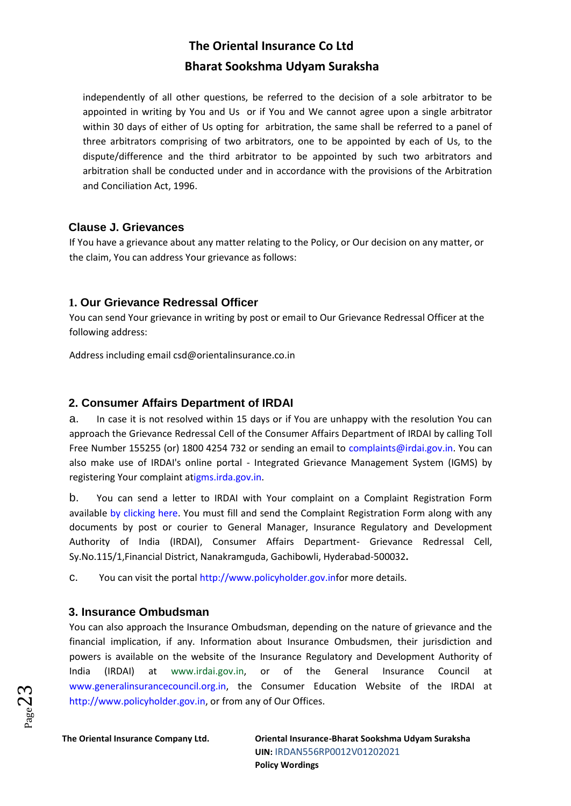independently of all other questions, be referred to the decision of a sole arbitrator to be appointed in writing by You and Us or if You and We cannot agree upon a single arbitrator within 30 days of either of Us opting for arbitration, the same shall be referred to a panel of three arbitrators comprising of two arbitrators, one to be appointed by each of Us, to the dispute/difference and the third arbitrator to be appointed by such two arbitrators and arbitration shall be conducted under and in accordance with the provisions of the Arbitration and Conciliation Act, 1996.

## **Clause J. Grievances**

If You have a grievance about any matter relating to the Policy, or Our decision on any matter, or the claim, You can address Your grievance as follows:

## **1. Our Grievance Redressal Officer**

You can send Your grievance in writing by post or email to Our Grievance Redressal Officer at the following address:

Address including email csd@orientalinsurance.co.in

## **2. Consumer Affairs Department of IRDAI**

a. In case it is not resolved within 15 days or if You are unhappy with the resolution You can approach the Grievance Redressal Cell of the Consumer Affairs Department of IRDAI by calling Toll Free Number 155255 (or) 1800 4254 732 or sending an email to complaints@irdai.gov.in. You can also make use of IRDAI's online portal - Integrated Grievance Management System (IGMS) by registering Your complaint a[tigms.irda.gov.in.](http://igms.irda.gov.in/)

b. You can send a letter to IRDAI with Your complaint on a Complaint Registration Form available [by clicking here.](http://www.policyholder.gov.in/uploads/CEDocuments/complaintform.pdf) You must fill and send the Complaint Registration Form along with any documents by post or courier to General Manager, Insurance Regulatory and Development Authority of India (IRDAI), Consumer Affairs Department- Grievance Redressal Cell, Sy.No.115/1,Financial District, Nanakramguda, Gachibowli, Hyderabad-500032**.**

c. You can visit the portal [http://www.policyholder.gov.inf](http://www.policyholder.gov.in/)or more details.

## **3. Insurance Ombudsman**

You can also approach the Insurance Ombudsman, depending on the nature of grievance and the financial implication, if any. Information about Insurance Ombudsmen, their jurisdiction and powers is available on the website of the Insurance Regulatory and Development Authority of India (IRDAI) at [www.irdai.gov.in,](http://www.irdaindia.org/) or of the General Insurance Council at [www.generalinsurancecouncil.org.in, t](http://www.generalinsurancecouncil.org.in/)he Consumer Education Website of the IRDAI at [http://www.policyholder.gov.in, o](http://www.policyholder.gov.in/)r from any of Our Offices.

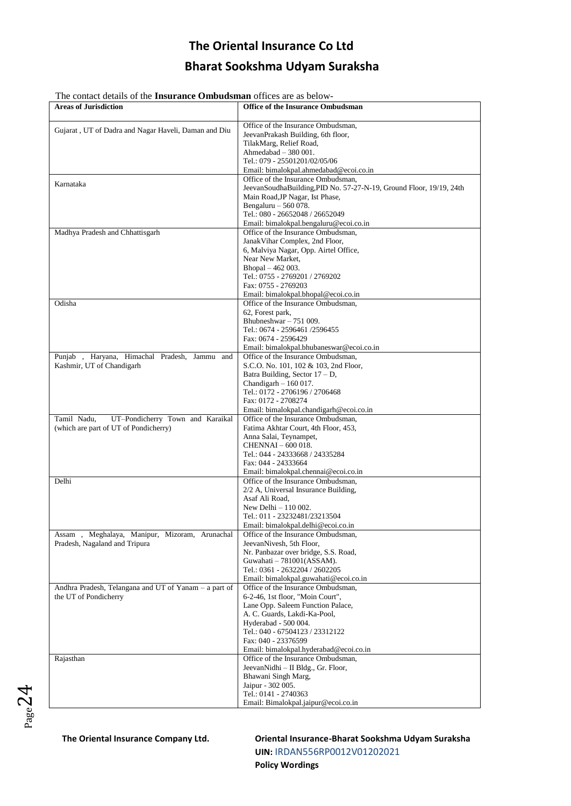The contact details of the **Insurance Ombudsman** offices are as below-

| The contact details of the <b>Thsulance Ombudsman</b> offices are as below<br><b>Areas of Jurisdiction</b> | <b>Office of the Insurance Ombudsman</b>                                      |
|------------------------------------------------------------------------------------------------------------|-------------------------------------------------------------------------------|
|                                                                                                            |                                                                               |
|                                                                                                            | Office of the Insurance Ombudsman,                                            |
| Gujarat, UT of Dadra and Nagar Haveli, Daman and Diu                                                       | JeevanPrakash Building, 6th floor,                                            |
|                                                                                                            | TilakMarg, Relief Road,                                                       |
|                                                                                                            | Ahmedabad $-380001$ .                                                         |
|                                                                                                            | Tel.: 079 - 25501201/02/05/06                                                 |
|                                                                                                            | Email: bimalokpal.ahmedabad@ecoi.co.in                                        |
|                                                                                                            | Office of the Insurance Ombudsman,                                            |
| Karnataka                                                                                                  | JeevanSoudhaBuilding, PID No. 57-27-N-19, Ground Floor, 19/19, 24th           |
|                                                                                                            | Main Road, JP Nagar, Ist Phase,                                               |
|                                                                                                            | Bengaluru $-560078$ .                                                         |
|                                                                                                            | Tel.: 080 - 26652048 / 26652049                                               |
|                                                                                                            | Email: bimalokpal.bengaluru@ecoi.co.in                                        |
| Madhya Pradesh and Chhattisgarh                                                                            | Office of the Insurance Ombudsman,                                            |
|                                                                                                            | JanakVihar Complex, 2nd Floor,                                                |
|                                                                                                            | 6, Malviya Nagar, Opp. Airtel Office,                                         |
|                                                                                                            | Near New Market,                                                              |
|                                                                                                            | Bhopal - 462 003.                                                             |
|                                                                                                            | Tel.: 0755 - 2769201 / 2769202                                                |
|                                                                                                            | Fax: 0755 - 2769203                                                           |
|                                                                                                            | Email: bimalokpal.bhopal@ecoi.co.in                                           |
| Odisha                                                                                                     | Office of the Insurance Ombudsman,                                            |
|                                                                                                            | 62, Forest park,                                                              |
|                                                                                                            | Bhubneshwar - 751 009.                                                        |
|                                                                                                            | Tel.: 0674 - 2596461 /2596455                                                 |
|                                                                                                            | Fax: 0674 - 2596429                                                           |
|                                                                                                            | Email: bimalokpal.bhubaneswar@ecoi.co.in                                      |
| Punjab , Haryana, Himachal Pradesh, Jammu and                                                              | Office of the Insurance Ombudsman.                                            |
| Kashmir, UT of Chandigarh                                                                                  | S.C.O. No. 101, 102 & 103, 2nd Floor,                                         |
|                                                                                                            | Batra Building, Sector $17 - D$ ,                                             |
|                                                                                                            | Chandigarh $-160017$ .                                                        |
|                                                                                                            | Tel.: 0172 - 2706196 / 2706468                                                |
|                                                                                                            | Fax: 0172 - 2708274                                                           |
|                                                                                                            | Email: bimalokpal.chandigarh@ecoi.co.in<br>Office of the Insurance Ombudsman, |
| UT-Pondicherry Town and Karaikal<br>Tamil Nadu,<br>(which are part of UT of Pondicherry)                   |                                                                               |
|                                                                                                            | Fatima Akhtar Court, 4th Floor, 453,<br>Anna Salai, Teynampet,                |
|                                                                                                            | CHENNAI - 600 018.                                                            |
|                                                                                                            | Tel.: 044 - 24333668 / 24335284                                               |
|                                                                                                            | Fax: 044 - 24333664                                                           |
|                                                                                                            | Email: bimalokpal.chennai@ecoi.co.in                                          |
| Delhi                                                                                                      | Office of the Insurance Ombudsman.                                            |
|                                                                                                            | 2/2 A, Universal Insurance Building,                                          |
|                                                                                                            | Asaf Ali Road,                                                                |
|                                                                                                            | New Delhi - 110 002.                                                          |
|                                                                                                            | Tel.: 011 - 23232481/23213504                                                 |
|                                                                                                            | Email: bimalokpal.delhi@ecoi.co.in                                            |
| Assam , Meghalaya, Manipur, Mizoram, Arunachal                                                             | Office of the Insurance Ombudsman,                                            |
| Pradesh, Nagaland and Tripura                                                                              | JeevanNivesh, 5th Floor,                                                      |
|                                                                                                            | Nr. Panbazar over bridge, S.S. Road,                                          |
|                                                                                                            | Guwahati $-781001(ASSAM)$ .                                                   |
|                                                                                                            | Tel.: 0361 - 2632204 / 2602205                                                |
|                                                                                                            | Email: bimalokpal.guwahati@ecoi.co.in                                         |
| Andhra Pradesh, Telangana and UT of Yanam - a part of                                                      | Office of the Insurance Ombudsman,                                            |
| the UT of Pondicherry                                                                                      | 6-2-46, 1st floor, "Moin Court",                                              |
|                                                                                                            | Lane Opp. Saleem Function Palace,                                             |
|                                                                                                            | A. C. Guards, Lakdi-Ka-Pool,                                                  |
|                                                                                                            | Hyderabad - 500 004.                                                          |
|                                                                                                            | Tel.: 040 - 67504123 / 23312122                                               |
|                                                                                                            | Fax: 040 - 23376599                                                           |
|                                                                                                            | Email: bimalokpal.hyderabad@ecoi.co.in                                        |
| Rajasthan                                                                                                  | Office of the Insurance Ombudsman,                                            |
|                                                                                                            | JeevanNidhi - II Bldg., Gr. Floor,                                            |
|                                                                                                            | Bhawani Singh Marg,                                                           |
|                                                                                                            | Jaipur - 302 005.                                                             |
|                                                                                                            | Tel.: 0141 - 2740363                                                          |
|                                                                                                            | Email: Bimalokpal.jaipur@ecoi.co.in                                           |

 $_{Page}$ 24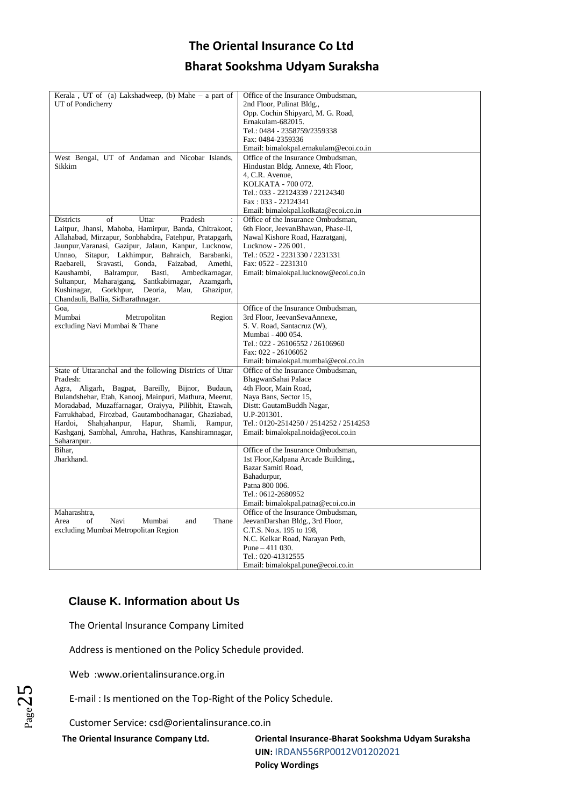| Kerala, UT of (a) Lakshadweep, (b) Mahe - a part of       | Office of the Insurance Ombudsman,     |
|-----------------------------------------------------------|----------------------------------------|
| UT of Pondicherry                                         | 2nd Floor, Pulinat Bldg.,              |
|                                                           | Opp. Cochin Shipyard, M. G. Road,      |
|                                                           | Ernakulam-682015.                      |
|                                                           | Tel.: 0484 - 2358759/2359338           |
|                                                           |                                        |
|                                                           | Fax: 0484-2359336                      |
|                                                           | Email: bimalokpal.ernakulam@ecoi.co.in |
| West Bengal, UT of Andaman and Nicobar Islands,           | Office of the Insurance Ombudsman.     |
| Sikkim                                                    | Hindustan Bldg. Annexe, 4th Floor,     |
|                                                           | 4, C.R. Avenue,                        |
|                                                           | KOLKATA - 700 072.                     |
|                                                           | Tel.: 033 - 22124339 / 22124340        |
|                                                           | Fax: 033 - 22124341                    |
|                                                           | Email: bimalokpal.kolkata@ecoi.co.in   |
|                                                           |                                        |
| of<br>Uttar<br>Pradesh<br>Districts<br>$\ddot{\cdot}$     | Office of the Insurance Ombudsman,     |
| Laitpur, Jhansi, Mahoba, Hamirpur, Banda, Chitrakoot,     | 6th Floor, JeevanBhawan, Phase-II,     |
| Allahabad, Mirzapur, Sonbhabdra, Fatehpur, Pratapgarh,    | Nawal Kishore Road, Hazratganj,        |
| Jaunpur, Varanasi, Gazipur, Jalaun, Kanpur, Lucknow,      | Lucknow - 226 001.                     |
| Unnao, Sitapur, Lakhimpur, Bahraich, Barabanki,           | Tel.: 0522 - 2231330 / 2231331         |
| Sravasti,<br>Gonda.<br>Faizabad.<br>Raebareli.<br>Amethi, | Fax: 0522 - 2231310                    |
| Balrampur,<br>Basti,<br>Ambedkarnagar,<br>Kaushambi,      | Email: bimalokpal.lucknow@ecoi.co.in   |
| Sultanpur, Maharajgang,<br>Santkabirnagar,<br>Azamgarh,   |                                        |
| Gorkhpur,<br>Deoria,<br>Mau,<br>Kushinagar,<br>Ghazipur,  |                                        |
| Chandauli, Ballia, Sidharathnagar.                        |                                        |
|                                                           |                                        |
| Goa,                                                      | Office of the Insurance Ombudsman,     |
| Mumbai<br>Metropolitan<br>Region                          | 3rd Floor, JeevanSevaAnnexe,           |
| excluding Navi Mumbai & Thane                             | S. V. Road, Santacruz (W),             |
|                                                           | Mumbai - 400 054.                      |
|                                                           | Tel.: 022 - 26106552 / 26106960        |
|                                                           | Fax: 022 - 26106052                    |
|                                                           | Email: bimalokpal.mumbai@ecoi.co.in    |
| State of Uttaranchal and the following Districts of Uttar | Office of the Insurance Ombudsman.     |
| Pradesh:                                                  | BhagwanSahai Palace                    |
| Agra, Aligarh, Bagpat, Bareilly, Bijnor, Budaun,          | 4th Floor, Main Road,                  |
|                                                           |                                        |
| Bulandshehar, Etah, Kanooj, Mainpuri, Mathura, Meerut,    | Naya Bans, Sector 15,                  |
| Moradabad, Muzaffarnagar, Oraiyya, Pilibhit, Etawah,      | Distt: GautamBuddh Nagar,              |
| Farrukhabad, Firozbad, Gautambodhanagar, Ghaziabad,       | U.P-201301.                            |
| Shamli,<br>Hardoi,<br>Shahjahanpur,<br>Hapur,<br>Rampur,  | Tel.: 0120-2514250 / 2514252 / 2514253 |
| Kashganj, Sambhal, Amroha, Hathras, Kanshiramnagar,       | Email: bimalokpal.noida@ecoi.co.in     |
| Saharanpur.                                               |                                        |
| Bihar,                                                    | Office of the Insurance Ombudsman,     |
| Jharkhand.                                                | 1st Floor, Kalpana Arcade Building,    |
|                                                           | Bazar Samiti Road,                     |
|                                                           | Bahadurpur,                            |
|                                                           | Patna 800 006.                         |
|                                                           | Tel.: 0612-2680952                     |
|                                                           | Email: bimalokpal.patna@ecoi.co.in     |
|                                                           |                                        |
| Maharashtra,                                              | Office of the Insurance Ombudsman,     |
| Navi<br>Thane<br>Area<br>of<br>Mumbai<br>and              | JeevanDarshan Bldg., 3rd Floor,        |
| excluding Mumbai Metropolitan Region                      | C.T.S. No.s. 195 to 198,               |
|                                                           | N.C. Kelkar Road, Narayan Peth,        |
|                                                           | Pune $-411$ 030.                       |
|                                                           | Tel.: 020-41312555                     |
|                                                           | Email: bimalokpal.pune@ecoi.co.in      |

## **Clause K. Information about Us**

The Oriental Insurance Company Limited

Address is mentioned on the Policy Schedule provided.

Web :www.orientalinsurance.org.in

E-mail : Is mentioned on the Top-Right of the Policy Schedule.

Customer Service: csd@orientalinsurance.co.in